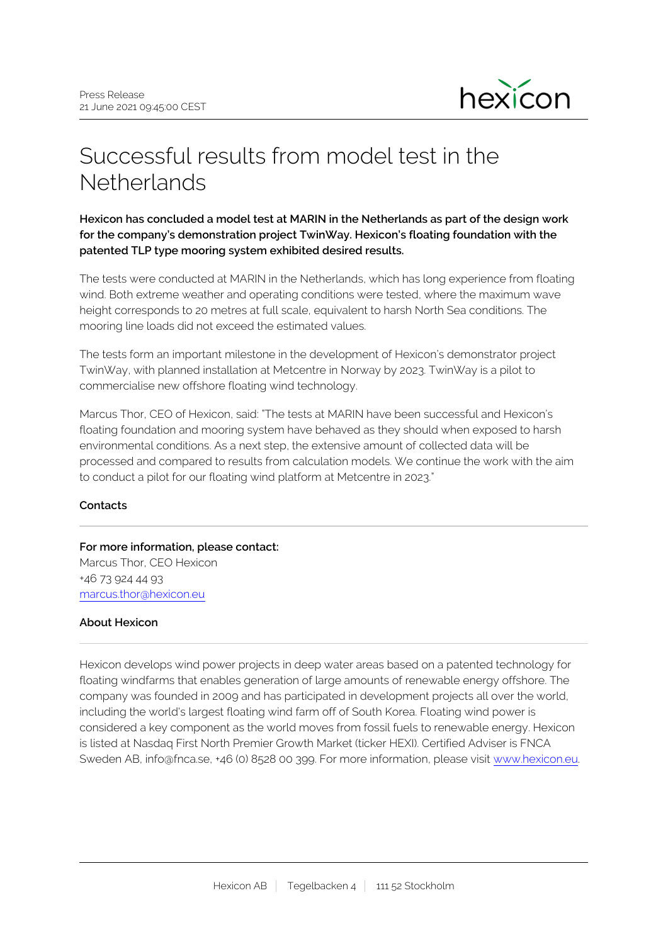

# Successful results from model test in the **Netherlands**

**Hexicon has concluded a model test at MARIN in the Netherlands as part of the design work for the company's demonstration project TwinWay. Hexicon's floating foundation with the patented TLP type mooring system exhibited desired results.**

The tests were conducted at MARIN in the Netherlands, which has long experience from floating wind. Both extreme weather and operating conditions were tested, where the maximum wave height corresponds to 20 metres at full scale, equivalent to harsh North Sea conditions. The mooring line loads did not exceed the estimated values.

The tests form an important milestone in the development of Hexicon's demonstrator project TwinWay, with planned installation at Metcentre in Norway by 2023. TwinWay is a pilot to commercialise new offshore floating wind technology.

Marcus Thor, CEO of Hexicon, said: "The tests at MARIN have been successful and Hexicon's floating foundation and mooring system have behaved as they should when exposed to harsh environmental conditions. As a next step, the extensive amount of collected data will be processed and compared to results from calculation models. We continue the work with the aim to conduct a pilot for our floating wind platform at Metcentre in 2023."

## **Contacts**

## **For more information, please contact:** Marcus Thor, CEO Hexicon

+46 73 924 44 93 marcus.thor@hexicon.eu

## **About Hexicon**

Hexicon develops wind power projects in deep water areas based on a patented technology for floating windfarms that enables generation of large amounts of renewable energy offshore. The company was founded in 2009 and has participated in development projects all over the world, including the world's largest floating wind farm off of South Korea. Floating wind power is considered a key component as the world moves from fossil fuels to renewable energy. Hexicon is listed at Nasdaq First North Premier Growth Market (ticker HEXI). Certified Adviser is FNCA Sweden AB, info@fnca.se, +46 (0) 8528 00 399. For more information, please visit [www.hexicon.eu](http://www.hexicon.eu/).